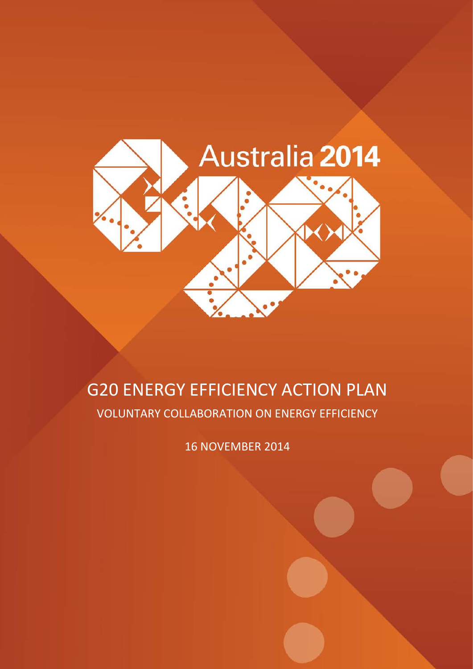

# G20 ENERGY EFFICIENCY ACTION PLAN VOLUNTARY COLLABORATION ON ENERGY EFFICIENCY

16 NOVEMBER 2014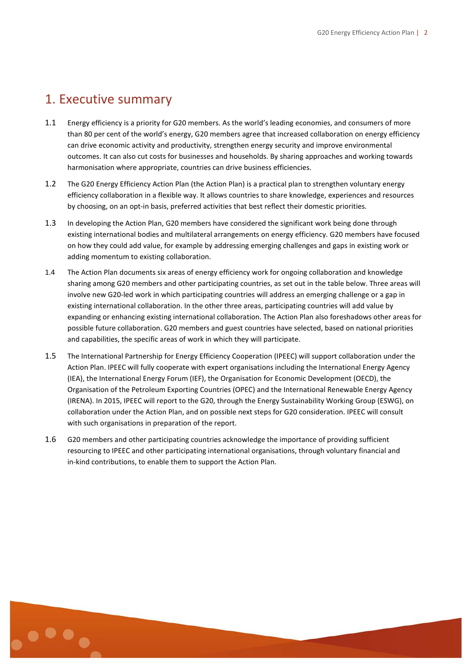# 1. Executive summary

- 1.1 Energy efficiency is a priority for G20 members. As the world's leading economies, and consumers of more than 80 per cent of the world's energy, G20 members agree that increased collaboration on energy efficiency can drive economic activity and productivity, strengthen energy security and improve environmental outcomes. It can also cut costs for businesses and households. By sharing approaches and working towards harmonisation where appropriate, countries can drive business efficiencies.
- 1.2 The G20 Energy Efficiency Action Plan (the Action Plan) is a practical plan to strengthen voluntary energy efficiency collaboration in a flexible way. It allows countries to share knowledge, experiences and resources by choosing, on an opt-in basis, preferred activities that best reflect their domestic priorities.
- 1.3 In developing the Action Plan, G20 members have considered the significant work being done through existing international bodies and multilateral arrangements on energy efficiency. G20 members have focused on how they could add value, for example by addressing emerging challenges and gaps in existing work or adding momentum to existing collaboration.
- 1.4 The Action Plan documents six areas of energy efficiency work for ongoing collaboration and knowledge sharing among G20 members and other participating countries, as set out in the table below. Three areas will involve new G20-led work in which participating countries will address an emerging challenge or a gap in existing international collaboration. In the other three areas, participating countries will add value by expanding or enhancing existing international collaboration. The Action Plan also foreshadows other areas for possible future collaboration. G20 members and guest countries have selected, based on national priorities and capabilities, the specific areas of work in which they will participate.
- 1.5 The International Partnership for Energy Efficiency Cooperation (IPEEC) will support collaboration under the Action Plan. IPEEC will fully cooperate with expert organisations including the International Energy Agency (IEA), the International Energy Forum (IEF), the Organisation for Economic Development (OECD), the Organisation of the Petroleum Exporting Countries (OPEC) and the International Renewable Energy Agency (IRENA). In 2015, IPEEC will report to the G20, through the Energy Sustainability Working Group (ESWG), on collaboration under the Action Plan, and on possible next steps for G20 consideration. IPEEC will consult with such organisations in preparation of the report.
- 1.6 G20 members and other participating countries acknowledge the importance of providing sufficient resourcing to IPEEC and other participating international organisations, through voluntary financial and in-kind contributions, to enable them to support the Action Plan.

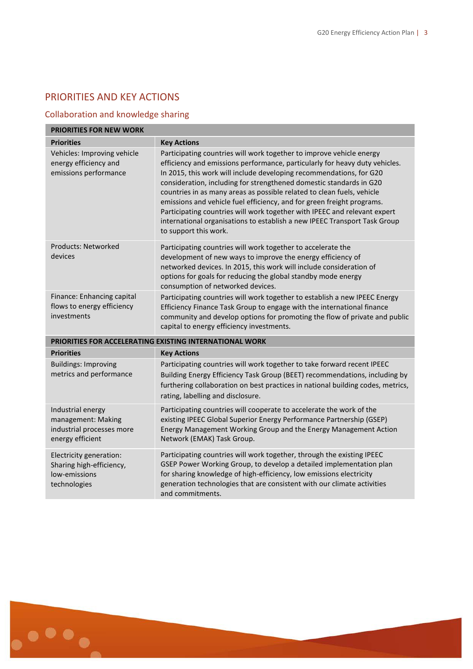# PRIORITIES AND KEY ACTIONS

# Collaboration and knowledge sharing

| <b>PRIORITIES FOR NEW WORK</b>                                                           |                                                                                                                                                                                                                                                                                                                                                                                                                                                                                                                                                                                                                                          |
|------------------------------------------------------------------------------------------|------------------------------------------------------------------------------------------------------------------------------------------------------------------------------------------------------------------------------------------------------------------------------------------------------------------------------------------------------------------------------------------------------------------------------------------------------------------------------------------------------------------------------------------------------------------------------------------------------------------------------------------|
| <b>Priorities</b>                                                                        | <b>Key Actions</b>                                                                                                                                                                                                                                                                                                                                                                                                                                                                                                                                                                                                                       |
| Vehicles: Improving vehicle<br>energy efficiency and<br>emissions performance            | Participating countries will work together to improve vehicle energy<br>efficiency and emissions performance, particularly for heavy duty vehicles.<br>In 2015, this work will include developing recommendations, for G20<br>consideration, including for strengthened domestic standards in G20<br>countries in as many areas as possible related to clean fuels, vehicle<br>emissions and vehicle fuel efficiency, and for green freight programs.<br>Participating countries will work together with IPEEC and relevant expert<br>international organisations to establish a new IPEEC Transport Task Group<br>to support this work. |
| Products: Networked<br>devices                                                           | Participating countries will work together to accelerate the<br>development of new ways to improve the energy efficiency of<br>networked devices. In 2015, this work will include consideration of<br>options for goals for reducing the global standby mode energy<br>consumption of networked devices.                                                                                                                                                                                                                                                                                                                                 |
| Finance: Enhancing capital<br>flows to energy efficiency<br>investments                  | Participating countries will work together to establish a new IPEEC Energy<br>Efficiency Finance Task Group to engage with the international finance<br>community and develop options for promoting the flow of private and public<br>capital to energy efficiency investments.                                                                                                                                                                                                                                                                                                                                                          |
| <b>PRIORITIES FOR ACCELERATING EXISTING INTERNATIONAL WORK</b>                           |                                                                                                                                                                                                                                                                                                                                                                                                                                                                                                                                                                                                                                          |
| <b>Priorities</b>                                                                        | <b>Key Actions</b>                                                                                                                                                                                                                                                                                                                                                                                                                                                                                                                                                                                                                       |
| <b>Buildings: Improving</b><br>metrics and performance                                   | Participating countries will work together to take forward recent IPEEC<br>Building Energy Efficiency Task Group (BEET) recommendations, including by<br>furthering collaboration on best practices in national building codes, metrics,<br>rating, labelling and disclosure.                                                                                                                                                                                                                                                                                                                                                            |
| Industrial energy<br>management: Making<br>industrial processes more<br>energy efficient | Participating countries will cooperate to accelerate the work of the<br>existing IPEEC Global Superior Energy Performance Partnership (GSEP)<br>Energy Management Working Group and the Energy Management Action<br>Network (EMAK) Task Group.                                                                                                                                                                                                                                                                                                                                                                                           |
| Electricity generation:<br>Sharing high-efficiency,<br>low-emissions<br>technologies     | Participating countries will work together, through the existing IPEEC<br>GSEP Power Working Group, to develop a detailed implementation plan<br>for sharing knowledge of high-efficiency, low emissions electricity<br>generation technologies that are consistent with our climate activities<br>and commitments.                                                                                                                                                                                                                                                                                                                      |

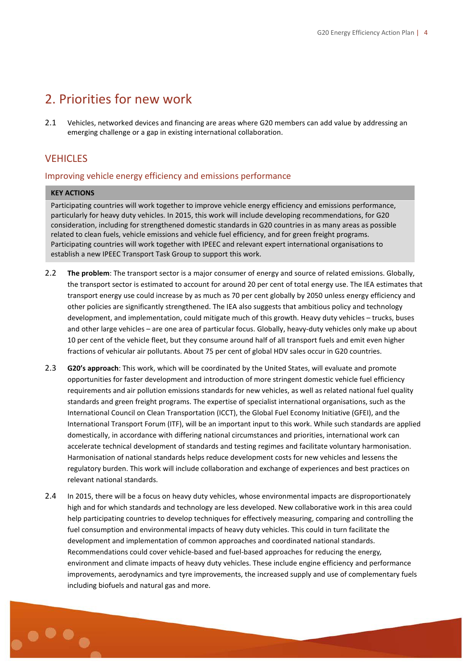# 2. Priorities for new work

2.1 Vehicles, networked devices and financing are areas where G20 members can add value by addressing an emerging challenge or a gap in existing international collaboration.

## **VEHICLES**

### Improving vehicle energy efficiency and emissions performance

#### **KEY ACTIONS**

Participating countries will work together to improve vehicle energy efficiency and emissions performance, particularly for heavy duty vehicles. In 2015, this work will include developing recommendations, for G20 consideration, including for strengthened domestic standards in G20 countries in as many areas as possible related to clean fuels, vehicle emissions and vehicle fuel efficiency, and for green freight programs. Participating countries will work together with IPEEC and relevant expert international organisations to establish a new IPEEC Transport Task Group to support this work.

- 2.2 **The problem**: The transport sector is a major consumer of energy and source of related emissions. Globally, the transport sector is estimated to account for around 20 per cent of total energy use. The IEA estimates that transport energy use could increase by as much as 70 per cent globally by 2050 unless energy efficiency and other policies are significantly strengthened. The IEA also suggests that ambitious policy and technology development, and implementation, could mitigate much of this growth. Heavy duty vehicles – trucks, buses and other large vehicles – are one area of particular focus. Globally, heavy-duty vehicles only make up about 10 per cent of the vehicle fleet, but they consume around half of all transport fuels and emit even higher fractions of vehicular air pollutants. About 75 per cent of global HDV sales occur in G20 countries.
- 2.3 **G20's approach**: This work, which will be coordinated by the United States, will evaluate and promote opportunities for faster development and introduction of more stringent domestic vehicle fuel efficiency requirements and air pollution emissions standards for new vehicles, as well as related national fuel quality standards and green freight programs. The expertise of specialist international organisations, such as the International Council on Clean Transportation (ICCT), the Global Fuel Economy Initiative (GFEI), and the International Transport Forum (ITF), will be an important input to this work. While such standards are applied domestically, in accordance with differing national circumstances and priorities, international work can accelerate technical development of standards and testing regimes and facilitate voluntary harmonisation. Harmonisation of national standards helps reduce development costs for new vehicles and lessens the regulatory burden. This work will include collaboration and exchange of experiences and best practices on relevant national standards.
- 2.4 In 2015, there will be a focus on heavy duty vehicles, whose environmental impacts are disproportionately high and for which standards and technology are less developed. New collaborative work in this area could help participating countries to develop techniques for effectively measuring, comparing and controlling the fuel consumption and environmental impacts of heavy duty vehicles. This could in turn facilitate the development and implementation of common approaches and coordinated national standards. Recommendations could cover vehicle-based and fuel-based approaches for reducing the energy*,* environment and climate impacts of heavy duty vehicles. These include engine efficiency and performance improvements, aerodynamics and tyre improvements, the increased supply and use of complementary fuels including biofuels and natural gas and more.

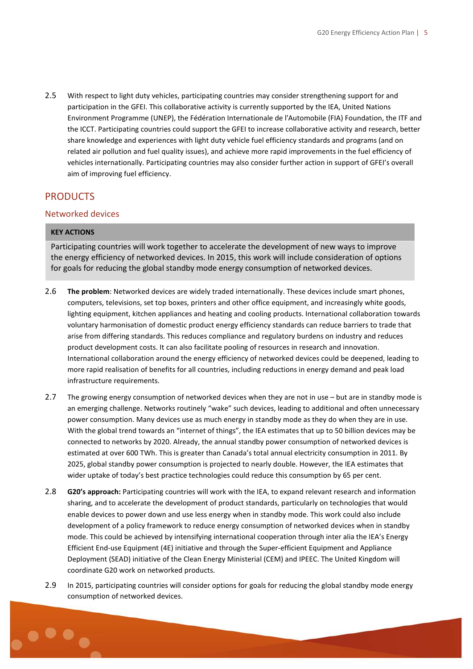2.5 With respect to light duty vehicles, participating countries may consider strengthening support for and participation in the GFEI. This collaborative activity is currently supported by the IEA, United Nations Environment Programme (UNEP), the Fédération Internationale de l'Automobile (FIA) Foundation, the ITF and the ICCT. Participating countries could support the GFEI to increase collaborative activity and research, better share knowledge and experiences with light duty vehicle fuel efficiency standards and programs (and on related air pollution and fuel quality issues), and achieve more rapid improvements in the fuel efficiency of vehicles internationally. Participating countries may also consider further action in support of GFEI's overall aim of improving fuel efficiency.

## **PRODUCTS**

### Networked devices

### **KEY ACTIONS**

Participating countries will work together to accelerate the development of new ways to improve the energy efficiency of networked devices. In 2015, this work will include consideration of options for goals for reducing the global standby mode energy consumption of networked devices.

- 2.6 **The problem**: Networked devices are widely traded internationally. These devices include smart phones, computers, televisions, set top boxes, printers and other office equipment, and increasingly white goods, lighting equipment, kitchen appliances and heating and cooling products. International collaboration towards voluntary harmonisation of domestic product energy efficiency standards can reduce barriers to trade that arise from differing standards. This reduces compliance and regulatory burdens on industry and reduces product development costs. It can also facilitate pooling of resources in research and innovation. International collaboration around the energy efficiency of networked devices could be deepened, leading to more rapid realisation of benefits for all countries, including reductions in energy demand and peak load infrastructure requirements.
- 2.7 The growing energy consumption of networked devices when they are not in use but are in standby mode is an emerging challenge. Networks routinely "wake" such devices, leading to additional and often unnecessary power consumption. Many devices use as much energy in standby mode as they do when they are in use. With the global trend towards an "internet of things", the IEA estimates that up to 50 billion devices may be connected to networks by 2020. Already, the annual standby power consumption of networked devices is estimated at over 600 TWh. This is greater than Canada's total annual electricity consumption in 2011. By 2025, global standby power consumption is projected to nearly double. However, the IEA estimates that wider uptake of today's best practice technologies could reduce this consumption by 65 per cent.
- 2.8 **G20's approach:** Participating countries will work with the IEA, to expand relevant research and information sharing, and to accelerate the development of product standards, particularly on technologies that would enable devices to power down and use less energy when in standby mode. This work could also include development of a policy framework to reduce energy consumption of networked devices when in standby mode. This could be achieved by intensifying international cooperation through inter alia the IEA's Energy Efficient End-use Equipment (4E) initiative and through the Super-efficient Equipment and Appliance Deployment (SEAD) initiative of the Clean Energy Ministerial (CEM) and IPEEC. The United Kingdom will coordinate G20 work on networked products.
- 2.9 In 2015, participating countries will consider options for goals for reducing the global standby mode energy consumption of networked devices.

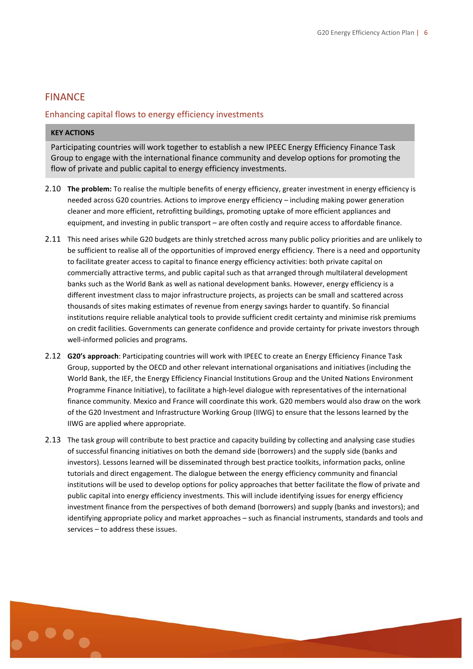## FINANCE

## Enhancing capital flows to energy efficiency investments

#### **KEY ACTIONS**

Participating countries will work together to establish a new IPEEC Energy Efficiency Finance Task Group to engage with the international finance community and develop options for promoting the flow of private and public capital to energy efficiency investments.

- 2.10 **The problem:** To realise the multiple benefits of energy efficiency, greater investment in energy efficiency is needed across G20 countries. Actions to improve energy efficiency – including making power generation cleaner and more efficient, retrofitting buildings, promoting uptake of more efficient appliances and equipment, and investing in public transport – are often costly and require access to affordable finance.
- 2.11 This need arises while G20 budgets are thinly stretched across many public policy priorities and are unlikely to be sufficient to realise all of the opportunities of improved energy efficiency. There is a need and opportunity to facilitate greater access to capital to finance energy efficiency activities: both private capital on commercially attractive terms, and public capital such as that arranged through multilateral development banks such as the World Bank as well as national development banks. However, energy efficiency is a different investment class to major infrastructure projects, as projects can be small and scattered across thousands of sites making estimates of revenue from energy savings harder to quantify. So financial institutions require reliable analytical tools to provide sufficient credit certainty and minimise risk premiums on credit facilities. Governments can generate confidence and provide certainty for private investors through well-informed policies and programs.
- 2.12 **G20's approach**: Participating countries will work with IPEEC to create an Energy Efficiency Finance Task Group, supported by the OECD and other relevant international organisations and initiatives (including the World Bank, the IEF, the Energy Efficiency Financial Institutions Group and the United Nations Environment Programme Finance Initiative), to facilitate a high-level dialogue with representatives of the international finance community. Mexico and France will coordinate this work. G20 members would also draw on the work of the G20 Investment and Infrastructure Working Group (IIWG) to ensure that the lessons learned by the IIWG are applied where appropriate.
- 2.13 The task group will contribute to best practice and capacity building by collecting and analysing case studies of successful financing initiatives on both the demand side (borrowers) and the supply side (banks and investors). Lessons learned will be disseminated through best practice toolkits, information packs, online tutorials and direct engagement. The dialogue between the energy efficiency community and financial institutions will be used to develop options for policy approaches that better facilitate the flow of private and public capital into energy efficiency investments. This will include identifying issues for energy efficiency investment finance from the perspectives of both demand (borrowers) and supply (banks and investors); and identifying appropriate policy and market approaches – such as financial instruments, standards and tools and services – to address these issues.

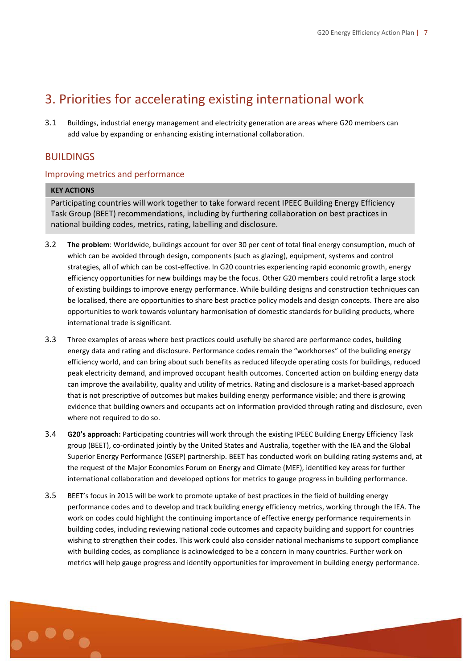# 3. Priorities for accelerating existing international work

3.1 Buildings, industrial energy management and electricity generation are areas where G20 members can add value by expanding or enhancing existing international collaboration.

# BUILDINGS

## Improving metrics and performance

### **KEY ACTIONS**

Participating countries will work together to take forward recent IPEEC Building Energy Efficiency Task Group (BEET) recommendations, including by furthering collaboration on best practices in national building codes, metrics, rating, labelling and disclosure.

- 3.2 **The problem**: Worldwide, buildings account for over 30 per cent of total final energy consumption, much of which can be avoided through design, components (such as glazing), equipment, systems and control strategies, all of which can be cost-effective. In G20 countries experiencing rapid economic growth, energy efficiency opportunities for new buildings may be the focus. Other G20 members could retrofit a large stock of existing buildings to improve energy performance. While building designs and construction techniques can be localised, there are opportunities to share best practice policy models and design concepts. There are also opportunities to work towards voluntary harmonisation of domestic standards for building products, where international trade is significant.
- 3.3 Three examples of areas where best practices could usefully be shared are performance codes, building energy data and rating and disclosure. Performance codes remain the "workhorses" of the building energy efficiency world, and can bring about such benefits as reduced lifecycle operating costs for buildings, reduced peak electricity demand, and improved occupant health outcomes. Concerted action on building energy data can improve the availability, quality and utility of metrics. Rating and disclosure is a market-based approach that is not prescriptive of outcomes but makes building energy performance visible; and there is growing evidence that building owners and occupants act on information provided through rating and disclosure, even where not required to do so.
- 3.4 **G20's approach:** Participating countries will work through the existing IPEEC Building Energy Efficiency Task group (BEET), co-ordinated jointly by the United States and Australia, together with the IEA and the Global Superior Energy Performance (GSEP) partnership. BEET has conducted work on building rating systems and, at the request of the Major Economies Forum on Energy and Climate (MEF), identified key areas for further international collaboration and developed options for metrics to gauge progress in building performance.
- 3.5 BEET's focus in 2015 will be work to promote uptake of best practices in the field of building energy performance codes and to develop and track building energy efficiency metrics, working through the IEA. The work on codes could highlight the continuing importance of effective energy performance requirements in building codes, including reviewing national code outcomes and capacity building and support for countries wishing to strengthen their codes. This work could also consider national mechanisms to support compliance with building codes, as compliance is acknowledged to be a concern in many countries. Further work on metrics will help gauge progress and identify opportunities for improvement in building energy performance.

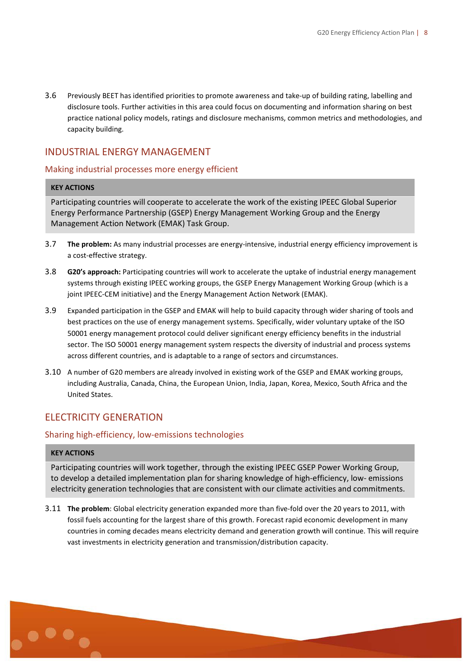3.6 Previously BEET has identified priorities to promote awareness and take-up of building rating, labelling and disclosure tools. Further activities in this area could focus on documenting and information sharing on best practice national policy models, ratings and disclosure mechanisms, common metrics and methodologies, and capacity building.

# INDUSTRIAL ENERGY MANAGEMENT

## Making industrial processes more energy efficient

### **KEY ACTIONS**

Participating countries will cooperate to accelerate the work of the existing IPEEC Global Superior Energy Performance Partnership (GSEP) Energy Management Working Group and the Energy Management Action Network (EMAK) Task Group.

- 3.7 **The problem:** As many industrial processes are energy-intensive, industrial energy efficiency improvement is a cost-effective strategy.
- 3.8 **G20's approach:** Participating countries will work to accelerate the uptake of industrial energy management systems through existing IPEEC working groups, the GSEP Energy Management Working Group (which is a joint IPEEC-CEM initiative) and the Energy Management Action Network (EMAK).
- 3.9 Expanded participation in the GSEP and EMAK will help to build capacity through wider sharing of tools and best practices on the use of energy management systems. Specifically, wider voluntary uptake of the ISO 50001 energy management protocol could deliver significant energy efficiency benefits in the industrial sector. The ISO 50001 energy management system respects the diversity of industrial and process systems across different countries, and is adaptable to a range of sectors and circumstances.
- 3.10 A number of G20 members are already involved in existing work of the GSEP and EMAK working groups, including Australia, Canada, China, the European Union, India, Japan, Korea, Mexico, South Africa and the United States.

# ELECTRICITY GENERATION

## Sharing high-efficiency, low-emissions technologies

### **KEY ACTIONS**

Participating countries will work together, through the existing IPEEC GSEP Power Working Group, to develop a detailed implementation plan for sharing knowledge of high-efficiency, low- emissions electricity generation technologies that are consistent with our climate activities and commitments.

3.11 **The problem**: Global electricity generation expanded more than five-fold over the 20 years to 2011, with fossil fuels accounting for the largest share of this growth. Forecast rapid economic development in many countries in coming decades means electricity demand and generation growth will continue. This will require vast investments in electricity generation and transmission/distribution capacity.

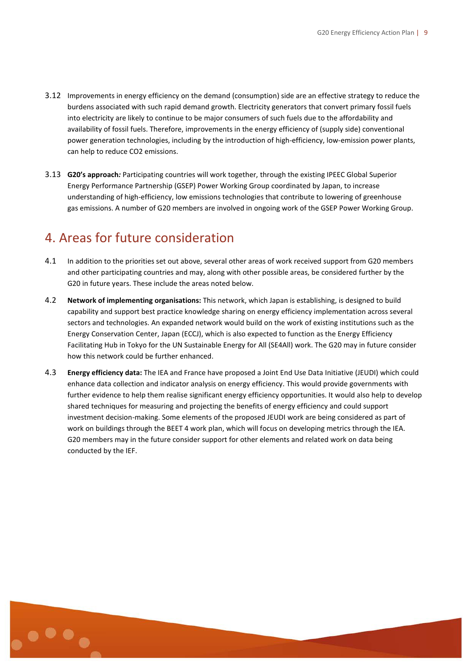- 3.12 Improvements in energy efficiency on the demand (consumption) side are an effective strategy to reduce the burdens associated with such rapid demand growth. Electricity generators that convert primary fossil fuels into electricity are likely to continue to be major consumers of such fuels due to the affordability and availability of fossil fuels. Therefore, improvements in the energy efficiency of (supply side) conventional power generation technologies, including by the introduction of high-efficiency, low-emission power plants, can help to reduce CO2 emissions.
- 3.13 **G20's approach***:* Participating countries will work together, through the existing IPEEC Global Superior Energy Performance Partnership (GSEP) Power Working Group coordinated by Japan, to increase understanding of high-efficiency, low emissions technologies that contribute to lowering of greenhouse gas emissions. A number of G20 members are involved in ongoing work of the GSEP Power Working Group.

# 4. Areas for future consideration

- 4.1 In addition to the priorities set out above, several other areas of work received support from G20 members and other participating countries and may, along with other possible areas, be considered further by the G20 in future years. These include the areas noted below.
- 4.2 **Network of implementing organisations:** This network, which Japan is establishing, is designed to build capability and support best practice knowledge sharing on energy efficiency implementation across several sectors and technologies. An expanded network would build on the work of existing institutions such as the Energy Conservation Center, Japan (ECCJ), which is also expected to function as the Energy Efficiency Facilitating Hub in Tokyo for the UN Sustainable Energy for All (SE4All) work. The G20 may in future consider how this network could be further enhanced.
- 4.3 **Energy efficiency data:** The IEA and France have proposed a Joint End Use Data Initiative (JEUDI) which could enhance data collection and indicator analysis on energy efficiency. This would provide governments with further evidence to help them realise significant energy efficiency opportunities. It would also help to develop shared techniques for measuring and projecting the benefits of energy efficiency and could support investment decision-making. Some elements of the proposed JEUDI work are being considered as part of work on buildings through the BEET 4 work plan, which will focus on developing metrics through the IEA. G20 members may in the future consider support for other elements and related work on data being conducted by the IEF.